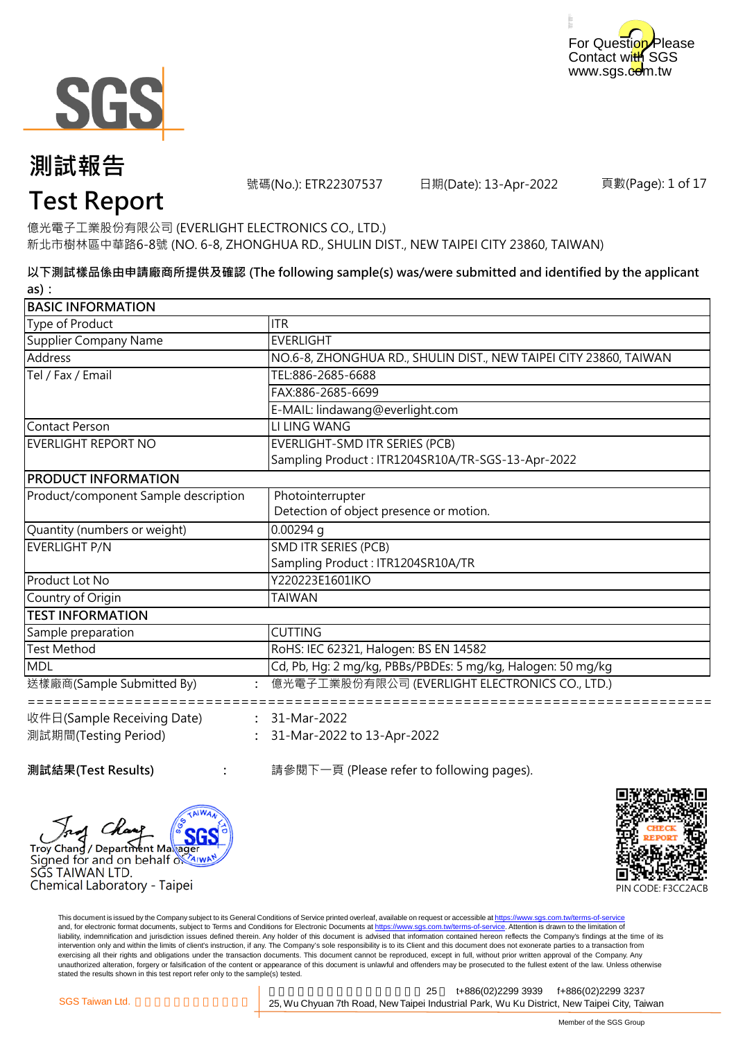



號碼(No.): ETR22307537 日期(Date): 13-Apr-2022

頁數(Page): 1 of 17

# **Test Report**

新北市樹林區中華路6-8號 (NO. 6-8, ZHONGHUA RD., SHULIN DIST., NEW TAIPEI CITY 23860, TAIWAN) 億光電子工業股份有限公司 (EVERLIGHT ELECTRONICS CO., LTD.)

**以下測試樣品係由申請廠商所提供及確認 (The following sample(s) was/were submitted and identified by the applicant as):**

| <b>BASIC INFORMATION</b>             |                                                                   |
|--------------------------------------|-------------------------------------------------------------------|
| Type of Product                      | ITR                                                               |
| Supplier Company Name                | <b>EVERLIGHT</b>                                                  |
| <b>Address</b>                       | NO.6-8, ZHONGHUA RD., SHULIN DIST., NEW TAIPEI CITY 23860, TAIWAN |
| Tel / Fax / Email                    | TEL:886-2685-6688                                                 |
|                                      | FAX:886-2685-6699                                                 |
|                                      | E-MAIL: lindawang@everlight.com                                   |
| <b>Contact Person</b>                | LI LING WANG                                                      |
| <b>EVERLIGHT REPORT NO</b>           | EVERLIGHT-SMD ITR SERIES (PCB)                                    |
|                                      | Sampling Product: ITR1204SR10A/TR-SGS-13-Apr-2022                 |
| <b>PRODUCT INFORMATION</b>           |                                                                   |
| Product/component Sample description | Photointerrupter                                                  |
|                                      | Detection of object presence or motion.                           |
| Quantity (numbers or weight)         | $0.00294$ q                                                       |
| <b>EVERLIGHT P/N</b>                 | SMD ITR SERIES (PCB)                                              |
|                                      | Sampling Product: ITR1204SR10A/TR                                 |
| Product Lot No                       | Y220223E1601IKO                                                   |
| Country of Origin                    | <b>TAIWAN</b>                                                     |
| <b>TEST INFORMATION</b>              |                                                                   |
| Sample preparation                   | <b>CUTTING</b>                                                    |
| <b>Test Method</b>                   | RoHS: IEC 62321, Halogen: BS EN 14582                             |
| MDL                                  | Cd, Pb, Hg: 2 mg/kg, PBBs/PBDEs: 5 mg/kg, Halogen: 50 mg/kg       |
| 送樣廠商(Sample Submitted By)            | 億光電子工業股份有限公司 (EVERLIGHT ELECTRONICS CO., LTD.)                    |
| 收件日(Sample Receiving Date)           | $: 31-Mar-2022$                                                   |
| 測試期間(Testing Period)                 | 31-Mar-2022 to 13-Apr-2022                                        |
|                                      |                                                                   |

**測試結果(Test Results)** : <br>
a 請參閱下一頁 (Please refer to following pages).



**:**

Chemical Laboratory - Taipei



This document is issued by the Company subject to its General Conditions of Service printed overleaf, available on request or accessible at https://www.sgs.com.tw/terms-of-service and, for electronic format documents, subject to Terms and Conditions for Electronic Documents at https://www.sgs.com.tw/terms-of-service. Attention is drawn to the limitation of liability, indemnification and jurisdiction issues defined therein. Any holder of this document is advised that information contained hereon reflects the Company's findings at the time of its intervention only and within the limits of client's instruction, if any. The Company's sole responsibility is to its Client and this document does not exonerate parties to a transaction from exercising all their rights and obligations under the transaction documents. This document cannot be reproduced, except in full, without prior written approval of the Company. Any<br>unauthorized alteration, forgery or falsif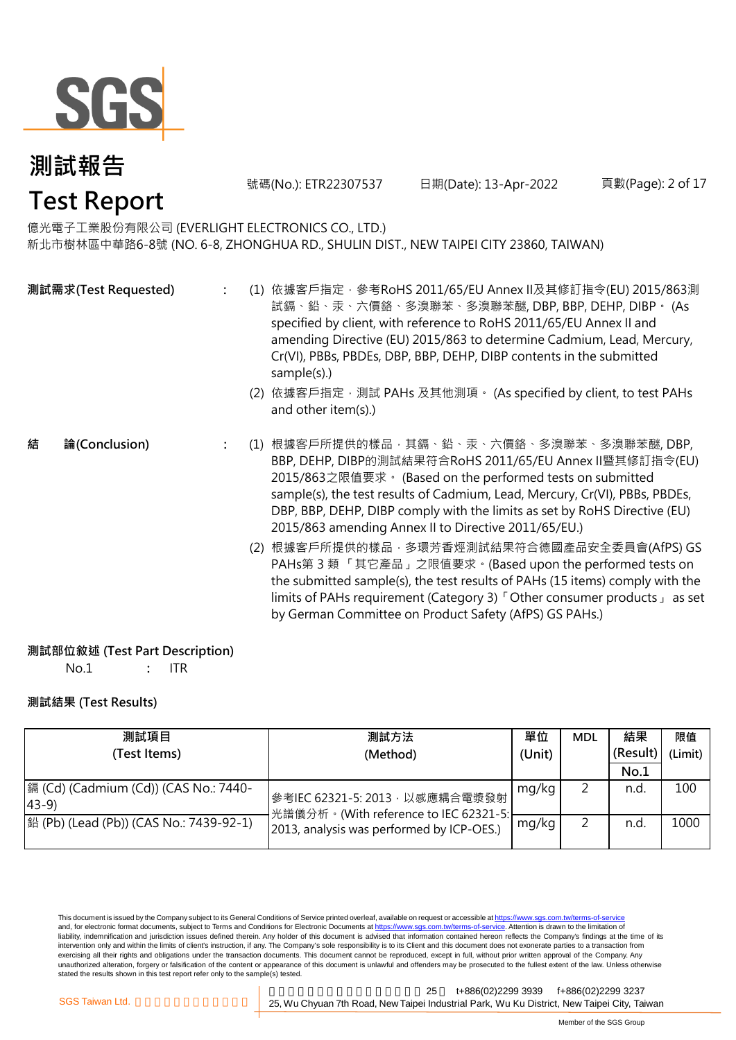

號碼(No.): ETR22307537 日期(Date): 13-Apr-2022

頁數(Page): 2 of 17

新北市樹林區中華路6-8號 (NO. 6-8, ZHONGHUA RD., SHULIN DIST., NEW TAIPEI CITY 23860, TAIWAN) 億光電子工業股份有限公司 (EVERLIGHT ELECTRONICS CO., LTD.)

|   | 測試需求(Test Requested) |     | (1) 依據客戶指定, 參考RoHS 2011/65/EU Annex II及其修訂指令(EU) 2015/863測<br>試鎘、鉛、汞、六價鉻、多溴聯苯、多溴聯苯醚, DBP, BBP, DEHP, DIBP。 (As<br>specified by client, with reference to RoHS 2011/65/EU Annex II and<br>amending Directive (EU) 2015/863 to determine Cadmium, Lead, Mercury,<br>Cr(VI), PBBs, PBDEs, DBP, BBP, DEHP, DIBP contents in the submitted<br>sample(s).)<br>(2) 依據客戶指定, 測試 PAHs 及其他測項。 (As specified by client, to test PAHs<br>and other item(s).) |
|---|----------------------|-----|-------------------------------------------------------------------------------------------------------------------------------------------------------------------------------------------------------------------------------------------------------------------------------------------------------------------------------------------------------------------------------------------------------------------------------------------------|
| 結 | 論(Conclusion)        | (1) | 根據客戶所提供的樣品‧其鎘、鉛、汞、六價鉻、多溴聯苯、多溴聯苯醚, DBP,<br>BBP, DEHP, DIBP的測試結果符合RoHS 2011/65/EU Annex II暨其修訂指令(EU)<br>2015/863之限值要求 · (Based on the performed tests on submitted<br>sample(s), the test results of Cadmium, Lead, Mercury, Cr(VI), PBBs, PBDEs,<br>DBP, BBP, DEHP, DIBP comply with the limits as set by RoHS Directive (EU)<br>2015/863 amending Annex II to Directive 2011/65/EU.)                                                            |
|   |                      |     | (2) 根據客戶所提供的樣品 · 多環芳香烴測試結果符合德國產品安全委員會(AfPS) GS<br>PAHs第3類「其它產品」之限值要求。(Based upon the performed tests on<br>the submitted sample(s), the test results of PAHs (15 items) comply with the<br>limits of PAHs requirement (Category 3) <sup>F</sup> Other consumer products as set                                                                                                                                                                  |

#### **測試部位敘述 (Test Part Description)**

No.1 **:** ITR

#### **測試結果 (Test Results)**

| 測試項目                                                    | 測試方法                                                                     | 單位    | <b>MDL</b> | 結果       | 限值      |
|---------------------------------------------------------|--------------------------------------------------------------------------|-------|------------|----------|---------|
| (Test Items)                                            | (Unit)<br>(Method)                                                       |       |            | (Result) | (Limit) |
|                                                         |                                                                          |       |            | No.1     |         |
| 鎘 (Cd) (Cadmium (Cd)) (CAS No.: 7440-<br>$ 43-9\rangle$ | S 考IEC 62321-5: 2013, 以感應耦合電漿發射<br>光譜儀分析。(With reference to IEC 62321-5: | mg/kg |            | n.d.     | 100     |
| 銟 (Pb) (Lead (Pb)) (CAS No.: 7439-92-1)                 | 2013, analysis was performed by ICP-OES.)                                | mg/kg |            | n.d.     | 1000    |

by German Committee on Product Safety (AfPS) GS PAHs.)

This document is issued by the Company subject to its General Conditions of Service printed overleaf, available on request or accessible at <u>https://www.sgs.com.tw/terms-of-service</u><br>and, for electronic format documents, su liability, indemnification and jurisdiction issues defined therein. Any holder of this document is advised that information contained hereon reflects the Company's findings at the time of its intervention only and within the limits of client's instruction, if any. The Company's sole responsibility is to its Client and this document does not exonerate parties to a transaction from exercising all their rights and obligations under the transaction documents. This document cannot be reproduced, except in full, without prior written approval of the Company. Any<br>unauthorized alteration, forgery or falsif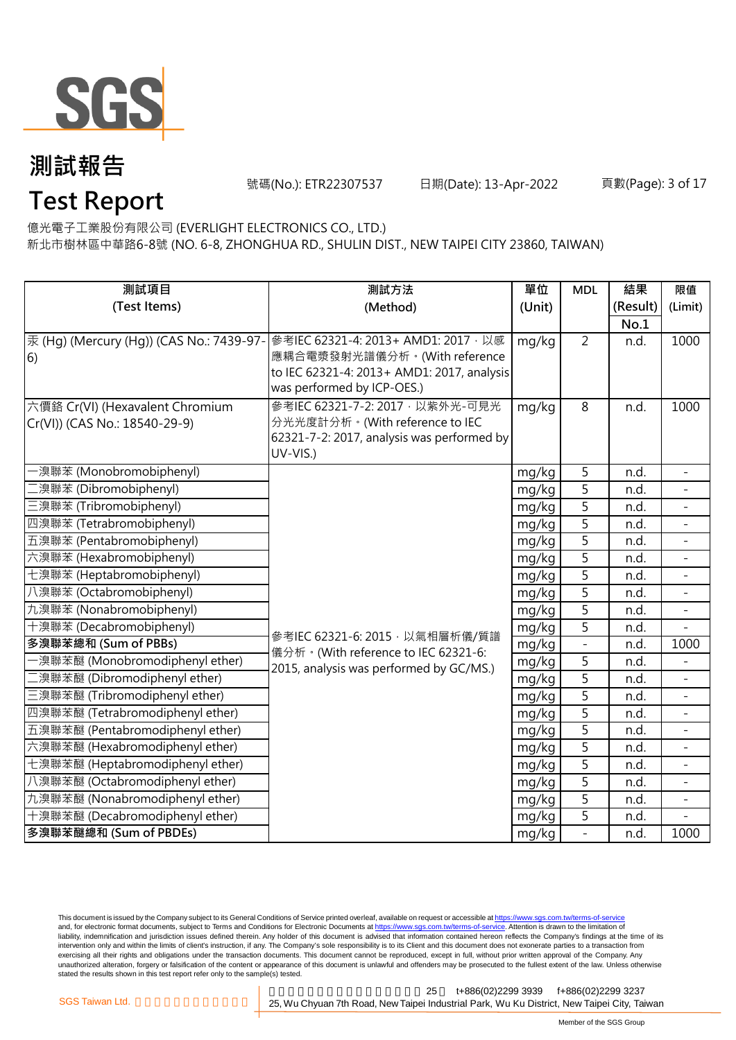

號碼(No.): ETR22307537 日期(Date): 13-Apr-2022

# **Test Report**

新北市樹林區中華路6-8號 (NO. 6-8, ZHONGHUA RD., SHULIN DIST., NEW TAIPEI CITY 23860, TAIWAN) 億光電子工業股份有限公司 (EVERLIGHT ELECTRONICS CO., LTD.)

| 測試項目                                     | 測試方法                                                                         | 單位     | <b>MDL</b>     | 結果       | 限值                       |
|------------------------------------------|------------------------------------------------------------------------------|--------|----------------|----------|--------------------------|
| (Test Items)                             | (Method)                                                                     | (Unit) |                | (Result) | (Limit)                  |
|                                          |                                                                              |        |                | No.1     |                          |
| 汞 (Hg) (Mercury (Hg)) (CAS No.: 7439-97- | 參考IEC 62321-4: 2013+ AMD1: 2017 · 以感                                         | mg/kg  | $\overline{2}$ | n.d.     | 1000                     |
| 6)                                       | 應耦合電漿發射光譜儀分析。(With reference                                                 |        |                |          |                          |
|                                          | to IEC 62321-4: 2013+ AMD1: 2017, analysis                                   |        |                |          |                          |
|                                          | was performed by ICP-OES.)                                                   |        |                |          |                          |
| 六價鉻 Cr(VI) (Hexavalent Chromium          | 參考IEC 62321-7-2: 2017, 以紫外光-可見光                                              | mg/kg  | 8              | n.d.     | 1000                     |
| Cr(VI)) (CAS No.: 18540-29-9)            | 分光光度計分析。(With reference to IEC<br>62321-7-2: 2017, analysis was performed by |        |                |          |                          |
|                                          | UV-VIS.)                                                                     |        |                |          |                          |
| -溴聯苯 (Monobromobiphenyl)                 |                                                                              | mg/kg  | 5              | n.d.     |                          |
| 二溴聯苯 (Dibromobiphenyl)                   |                                                                              | mg/kg  | 5              | n.d.     |                          |
| 三溴聯苯 (Tribromobiphenyl)                  |                                                                              | mg/kg  | 5              | n.d.     |                          |
| 四溴聯苯 (Tetrabromobiphenyl)                |                                                                              | mg/kg  | $\overline{5}$ | n.d.     | $\overline{a}$           |
| 五溴聯苯 (Pentabromobiphenyl)                |                                                                              | mg/kg  | 5              | n.d.     |                          |
| 六溴聯苯 (Hexabromobiphenyl)                 |                                                                              | mg/kg  | 5              | n.d.     |                          |
| 七溴聯苯 (Heptabromobiphenyl)                |                                                                              | mg/kg  | 5              | n.d.     |                          |
| 八溴聯苯 (Octabromobiphenyl)                 |                                                                              | mg/kg  | $\overline{5}$ | n.d.     |                          |
| 九溴聯苯 (Nonabromobiphenyl)                 |                                                                              | mg/kg  | $\overline{5}$ | n.d.     |                          |
| 十溴聯苯 (Decabromobiphenyl)                 | 參考IEC 62321-6: 2015, 以氣相層析儀/質譜                                               | mg/kg  | $\overline{5}$ | n.d.     |                          |
| 多溴聯苯總和 (Sum of PBBs)                     | 儀分析。(With reference to IEC 62321-6:                                          | mg/kg  | $\overline{a}$ | n.d.     | 1000                     |
| -溴聯苯醚 (Monobromodiphenyl ether)          | 2015, analysis was performed by GC/MS.)                                      | mg/kg  | 5              | n.d.     |                          |
| 二溴聯苯醚 (Dibromodiphenyl ether)            |                                                                              | mg/kg  | 5              | n.d.     |                          |
| 三溴聯苯醚 (Tribromodiphenyl ether)           |                                                                              | mg/kg  | 5              | n.d.     | $\overline{\phantom{a}}$ |
| 四溴聯苯醚 (Tetrabromodiphenyl ether)         |                                                                              | mg/kg  | 5              | n.d.     |                          |
| 五溴聯苯醚 (Pentabromodiphenyl ether)         |                                                                              | mg/kg  | 5              | n.d.     |                          |
| 六溴聯苯醚 (Hexabromodiphenyl ether)          |                                                                              | mg/kg  | 5              | n.d.     |                          |
| 七溴聯苯醚 (Heptabromodiphenyl ether)         |                                                                              | mg/kg  | 5              | n.d.     | $\overline{a}$           |
| 八溴聯苯醚 (Octabromodiphenyl ether)          |                                                                              | mg/kg  | $\overline{5}$ | n.d.     |                          |
| 九溴聯苯醚 (Nonabromodiphenyl ether)          |                                                                              | mg/kg  | $\overline{5}$ | n.d.     |                          |
| 十溴聯苯醚 (Decabromodiphenyl ether)          |                                                                              | mg/kg  | 5              | n.d.     |                          |
| 多溴聯苯醚總和 (Sum of PBDEs)                   |                                                                              | mg/kg  | $\overline{a}$ | n.d.     | 1000                     |

This document is issued by the Company subject to its General Conditions of Service printed overleaf, available on request or accessible at <u>https://www.sgs.com.tw/terms-of-service</u><br>and, for electronic format documents, su liability, indemnification and jurisdiction issues defined therein. Any holder of this document is advised that information contained hereon reflects the Company's findings at the time of its intervention only and within the limits of client's instruction, if any. The Company's sole responsibility is to its Client and this document does not exonerate parties to a transaction from exercising all their rights and obligations under the transaction documents. This document cannot be reproduced, except in full, without prior written approval of the Company. Any<br>unauthorized alteration, forgery or falsif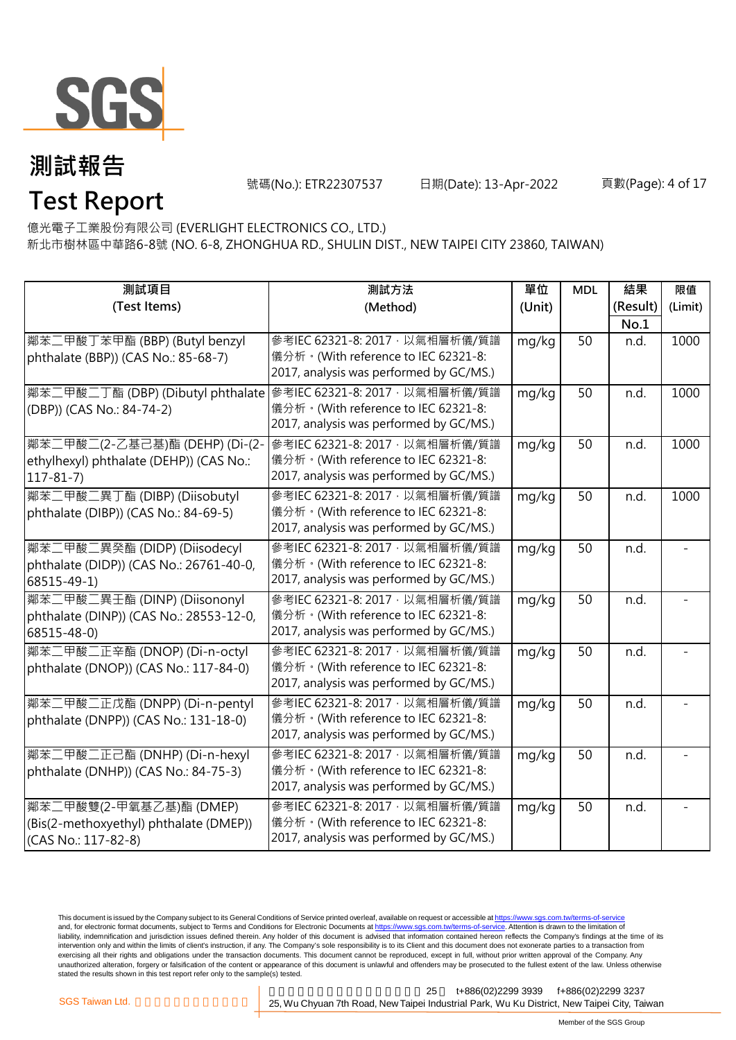

號碼(No.): ETR22307537 日期(Date): 13-Apr-2022

# **Test Report**

新北市樹林區中華路6-8號 (NO. 6-8, ZHONGHUA RD., SHULIN DIST., NEW TAIPEI CITY 23860, TAIWAN) 億光電子工業股份有限公司 (EVERLIGHT ELECTRONICS CO., LTD.)

| 測試項目<br>(Test Items)                                                                            | 測試方法<br>(Method)                                                                                                  | 單位<br>(Unit) | <b>MDL</b> | 結果<br>(Result)<br>No.1 | 限值<br>(Limit) |
|-------------------------------------------------------------------------------------------------|-------------------------------------------------------------------------------------------------------------------|--------------|------------|------------------------|---------------|
| 鄰苯二甲酸丁苯甲酯 (BBP) (Butyl benzyl<br>phthalate (BBP)) (CAS No.: 85-68-7)                            | 參考IEC 62321-8: 2017, 以氣相層析儀/質譜<br>儀分析。(With reference to IEC 62321-8:<br>2017, analysis was performed by GC/MS.)  | mg/kg        | 50         | n.d.                   | 1000          |
| 鄰苯二甲酸二丁酯 (DBP) (Dibutyl phthalate   參考IEC 62321-8: 2017, 以氣相層析儀/質譜<br>(DBP)) (CAS No.: 84-74-2) | 儀分析。(With reference to IEC 62321-8:<br>2017, analysis was performed by GC/MS.)                                    | mg/kg        | 50         | n.d.                   | 1000          |
| 鄰苯二甲酸二(2-乙基己基)酯 (DEHP) (Di-(2-<br>ethylhexyl) phthalate (DEHP)) (CAS No.:<br>$117 - 81 - 7$     | 參考IEC 62321-8: 2017 · 以氣相層析儀/質譜<br>儀分析。(With reference to IEC 62321-8:<br>2017, analysis was performed by GC/MS.) | mg/kg        | 50         | n.d.                   | 1000          |
| 鄰苯二甲酸二異丁酯 (DIBP) (Diisobutyl<br>phthalate (DIBP)) (CAS No.: 84-69-5)                            | 參考IEC 62321-8: 2017, 以氣相層析儀/質譜<br>儀分析。(With reference to IEC 62321-8:<br>2017, analysis was performed by GC/MS.)  | mg/kg        | 50         | n.d.                   | 1000          |
| 鄰苯二甲酸二異癸酯 (DIDP) (Diisodecyl<br>phthalate (DIDP)) (CAS No.: 26761-40-0,<br>68515-49-1)          | 參考IEC 62321-8: 2017, 以氣相層析儀/質譜<br>儀分析。(With reference to IEC 62321-8:<br>2017, analysis was performed by GC/MS.)  | mg/kg        | 50         | n.d.                   |               |
| 鄰苯二甲酸二異壬酯 (DINP) (Diisononyl<br>phthalate (DINP)) (CAS No.: 28553-12-0,<br>68515-48-0)          | 參考IEC 62321-8: 2017 · 以氣相層析儀/質譜<br>儀分析。(With reference to IEC 62321-8:<br>2017, analysis was performed by GC/MS.) | mg/kg        | 50         | n.d.                   |               |
| 鄰苯二甲酸二正辛酯 (DNOP) (Di-n-octyl<br>phthalate (DNOP)) (CAS No.: 117-84-0)                           | 參考IEC 62321-8: 2017, 以氣相層析儀/質譜<br>儀分析。(With reference to IEC 62321-8:<br>2017, analysis was performed by GC/MS.)  | mg/kg        | 50         | n.d.                   |               |
| 鄰苯二甲酸二正戊酯 (DNPP) (Di-n-pentyl<br>phthalate (DNPP)) (CAS No.: 131-18-0)                          | 參考IEC 62321-8: 2017, 以氣相層析儀/質譜<br>儀分析。(With reference to IEC 62321-8:<br>2017, analysis was performed by GC/MS.)  | mg/kg        | 50         | n.d.                   |               |
| 鄰苯二甲酸二正己酯 (DNHP) (Di-n-hexyl<br>phthalate (DNHP)) (CAS No.: 84-75-3)                            | 參考IEC 62321-8: 2017, 以氣相層析儀/質譜<br>儀分析。(With reference to IEC 62321-8:<br>2017, analysis was performed by GC/MS.)  | mg/kg        | 50         | n.d.                   |               |
| 鄰苯二甲酸雙(2-甲氧基乙基)酯 (DMEP)<br>(Bis(2-methoxyethyl) phthalate (DMEP))<br>(CAS No.: 117-82-8)        | 參考IEC 62321-8: 2017, 以氣相層析儀/質譜<br>儀分析。(With reference to IEC 62321-8:<br>2017, analysis was performed by GC/MS.)  | mg/kg        | 50         | n.d.                   |               |

This document is issued by the Company subject to its General Conditions of Service printed overleaf, available on request or accessible at <u>https://www.sgs.com.tw/terms-of-service</u><br>and, for electronic format documents, su liability, indemnification and jurisdiction issues defined therein. Any holder of this document is advised that information contained hereon reflects the Company's findings at the time of its intervention only and within the limits of client's instruction, if any. The Company's sole responsibility is to its Client and this document does not exonerate parties to a transaction from exercising all their rights and obligations under the transaction documents. This document cannot be reproduced, except in full, without prior written approval of the Company. Any<br>unauthorized alteration, forgery or falsif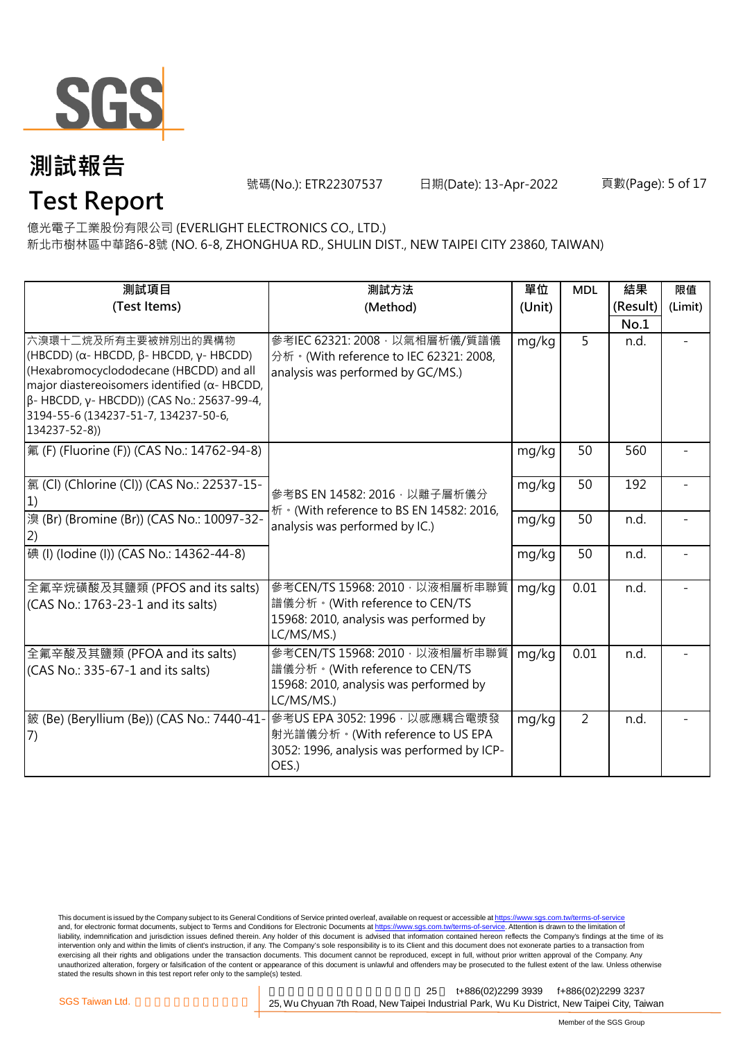

號碼(No.): ETR22307537 日期(Date): 13-Apr-2022

頁數(Page): 5 of 17

# **Test Report**

新北市樹林區中華路6-8號 (NO. 6-8, ZHONGHUA RD., SHULIN DIST., NEW TAIPEI CITY 23860, TAIWAN) 億光電子工業股份有限公司 (EVERLIGHT ELECTRONICS CO., LTD.)

| 測試項目<br>(Test Items)                                                                                                                                                                                                                                                                             | 測試方法<br>(Method)                                                                                                         | 單位<br>(Unit) | <b>MDL</b>     | 結果<br>(Result)<br>No.1 | 限值<br>(Limit) |
|--------------------------------------------------------------------------------------------------------------------------------------------------------------------------------------------------------------------------------------------------------------------------------------------------|--------------------------------------------------------------------------------------------------------------------------|--------------|----------------|------------------------|---------------|
| 六溴環十二烷及所有主要被辨別出的異構物<br>(HBCDD) ( $\alpha$ - HBCDD, $\beta$ - HBCDD, $\gamma$ - HBCDD)<br>(Hexabromocyclododecane (HBCDD) and all<br>major diastereoisomers identified ( $\alpha$ - HBCDD,<br>β- HBCDD, γ- HBCDD)) (CAS No.: 25637-99-4,<br>3194-55-6 (134237-51-7, 134237-50-6,<br>134237-52-8)) | 參考IEC 62321: 2008, 以氣相層析儀/質譜儀<br>分析 · (With reference to IEC 62321: 2008,<br>analysis was performed by GC/MS.)           | mg/kg        | 5              | n.d.                   |               |
| 氟 (F) (Fluorine (F)) (CAS No.: 14762-94-8)                                                                                                                                                                                                                                                       |                                                                                                                          | mg/kg        | 50             | 560                    |               |
| 氯 (Cl) (Chlorine (Cl)) (CAS No.: 22537-15-                                                                                                                                                                                                                                                       | 參考BS EN 14582: 2016, 以離子層析儀分                                                                                             | mg/kg        | 50             | 192                    |               |
| 溴 (Br) (Bromine (Br)) (CAS No.: 10097-32-<br>2)                                                                                                                                                                                                                                                  | 析 · (With reference to BS EN 14582: 2016,<br>analysis was performed by IC.)                                              | mg/kg        | 50             | n.d.                   |               |
| 碘 (I) (lodine (I)) (CAS No.: 14362-44-8)                                                                                                                                                                                                                                                         |                                                                                                                          | mg/kg        | 50             | n.d.                   |               |
| 全氟辛烷磺酸及其鹽類 (PFOS and its salts)<br>(CAS No.: 1763-23-1 and its salts)                                                                                                                                                                                                                            | 參考CEN/TS 15968: 2010, 以液相層析串聯質<br>譜儀分析。(With reference to CEN/TS<br>15968: 2010, analysis was performed by<br>LC/MS/MS.) | mg/kg        | 0.01           | n.d.                   |               |
| 全氟辛酸及其鹽類 (PFOA and its salts)<br>(CAS No.: 335-67-1 and its salts)                                                                                                                                                                                                                               | 參考CEN/TS 15968: 2010, 以液相層析串聯質<br>譜儀分析。(With reference to CEN/TS<br>15968: 2010, analysis was performed by<br>LC/MS/MS.) | mg/kg        | 0.01           | n.d.                   |               |
| 鈹 (Be) (Beryllium (Be)) (CAS No.: 7440-41-<br>7)                                                                                                                                                                                                                                                 | 參考US EPA 3052:1996 · 以感應耦合電漿發<br>射光譜儀分析。(With reference to US EPA<br>3052: 1996, analysis was performed by ICP-<br>OES.) | mg/kg        | $\overline{2}$ | n.d.                   |               |

This document is issued by the Company subject to its General Conditions of Service printed overleaf, available on request or accessible at <u>https://www.sgs.com.tw/terms-of-service</u><br>and, for electronic format documents, su liability, indemnification and jurisdiction issues defined therein. Any holder of this document is advised that information contained hereon reflects the Company's findings at the time of its intervention only and within the limits of client's instruction, if any. The Company's sole responsibility is to its Client and this document does not exonerate parties to a transaction from exercising all their rights and obligations under the transaction documents. This document cannot be reproduced, except in full, without prior written approval of the Company. Any<br>unauthorized alteration, forgery or falsif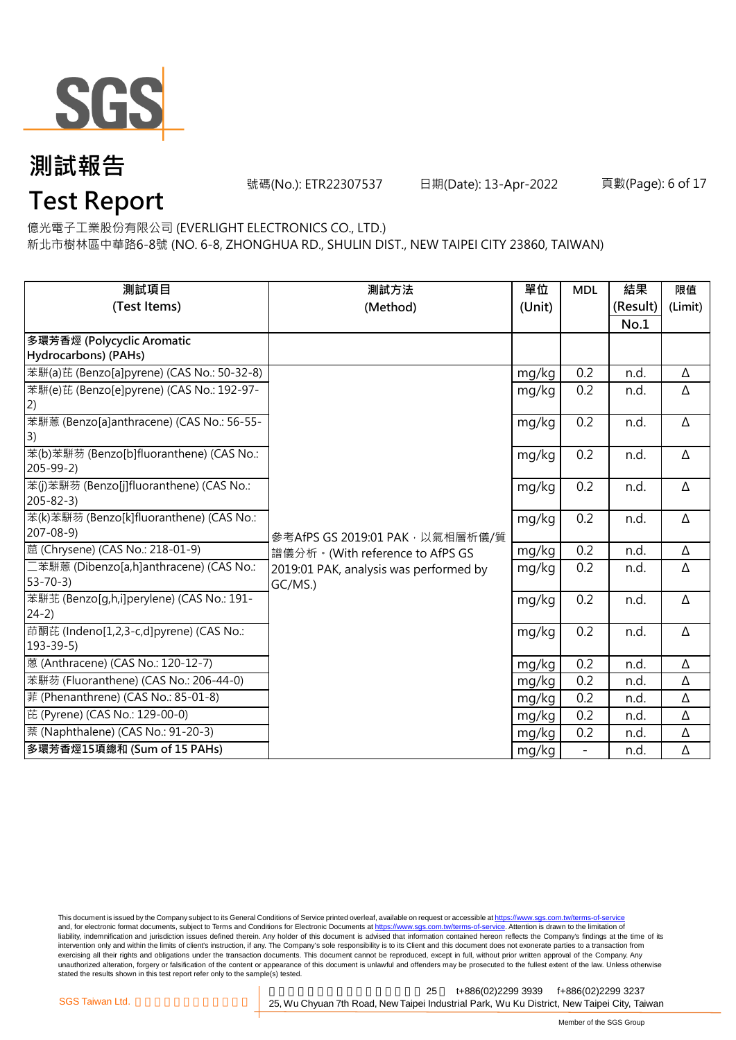

號碼(No.): ETR22307537 日期(Date): 13-Apr-2022

頁數(Page): 6 of 17

# **Test Report**

億光電子工業股份有限公司 (EVERLIGHT ELECTRONICS CO., LTD.)

新北市樹林區中華路6-8號 (NO. 6-8, ZHONGHUA RD., SHULIN DIST., NEW TAIPEI CITY 23860, TAIWAN)

| 測試項目                                                     | 測試方法                                   | 單位     | <b>MDL</b>               | 結果       | 限值      |
|----------------------------------------------------------|----------------------------------------|--------|--------------------------|----------|---------|
| (Test Items)                                             | (Method)                               | (Unit) |                          | (Result) | (Limit) |
|                                                          |                                        |        |                          | No.1     |         |
| 多環芳香烴 (Polycyclic Aromatic                               |                                        |        |                          |          |         |
| Hydrocarbons) (PAHs)                                     |                                        |        |                          |          |         |
| 苯駢(a)芘 (Benzo[a]pyrene) (CAS No.: 50-32-8)               |                                        | mg/kg  | 0.2                      | n.d.     | Δ       |
| 苯駢(e)芘 (Benzo[e]pyrene) (CAS No.: 192-97-                |                                        | mg/kg  | 0.2                      | n.d.     | Δ       |
| 2)                                                       |                                        |        |                          |          |         |
| 苯駢蒽 (Benzo[a]anthracene) (CAS No.: 56-55-                |                                        | mg/kg  | 0.2                      | n.d.     | Δ       |
| 3)                                                       |                                        |        |                          |          |         |
| 苯(b)苯駢芴 (Benzo[b]fluoranthene) (CAS No.:                 |                                        | mg/kg  | 0.2                      | n.d.     | Δ       |
| $205 - 99 - 2$                                           |                                        |        |                          |          |         |
| 苯(j)苯駢芴 (Benzo[j]fluoranthene) (CAS No.:                 |                                        | mg/kg  | 0.2                      | n.d.     | Δ       |
| $205 - 82 - 3$                                           |                                        |        |                          |          |         |
| 苯(k)苯駢芴 (Benzo[k]fluoranthene) (CAS No.:                 |                                        | mg/kg  | 0.2                      | n.d.     | Δ       |
| $207 - 08 - 9$                                           | 參考AfPS GS 2019:01 PAK · 以氣相層析儀/質       |        |                          |          |         |
| 蔰 (Chrysene) (CAS No.: 218-01-9)                         | 譜儀分析。(With reference to AfPS GS        | mg/kg  | 0.2                      | n.d.     | Δ       |
| 二苯駢蒽 (Dibenzo[a,h]anthracene) (CAS No.:<br>$53 - 70 - 3$ | 2019:01 PAK, analysis was performed by | mg/kg  | 0.2                      | n.d.     | Δ       |
|                                                          | GC/MS.)                                |        |                          |          |         |
| 苯駢苝 (Benzo[g,h,i]perylene) (CAS No.: 191-<br>$24-2)$     |                                        | mg/kg  | 0.2                      | n.d.     | Δ       |
| 茚酮芘 (Indeno[1,2,3-c,d]pyrene) (CAS No.:                  |                                        |        | 0.2                      |          | Δ       |
| $193 - 39 - 5$                                           |                                        | mg/kg  |                          | n.d.     |         |
| 蒽 (Anthracene) (CAS No.: 120-12-7)                       |                                        | mg/kg  | 0.2                      | n.d.     | Δ       |
| 苯駢芴 (Fluoranthene) (CAS No.: 206-44-0)                   |                                        | mg/kg  | 0.2                      | n.d.     | Δ       |
| 菲 (Phenanthrene) (CAS No.: 85-01-8)                      |                                        |        | 0.2                      | n.d.     | Δ       |
| 芘 (Pyrene) (CAS No.: 129-00-0)                           |                                        | mg/kg  |                          |          |         |
|                                                          |                                        | mg/kg  | 0.2                      | n.d.     | Δ       |
| 萘 (Naphthalene) (CAS No.: 91-20-3)                       |                                        | mg/kg  | 0.2                      | n.d.     | Δ       |
| 多環芳香烴15項總和 (Sum of 15 PAHs)                              |                                        | mg/kg  | $\overline{\phantom{0}}$ | n.d.     | Δ       |

This document is issued by the Company subject to its General Conditions of Service printed overleaf, available on request or accessible at <u>https://www.sgs.com.tw/terms-of-service</u><br>and, for electronic format documents, su liability, indemnification and jurisdiction issues defined therein. Any holder of this document is advised that information contained hereon reflects the Company's findings at the time of its intervention only and within the limits of client's instruction, if any. The Company's sole responsibility is to its Client and this document does not exonerate parties to a transaction from exercising all their rights and obligations under the transaction documents. This document cannot be reproduced, except in full, without prior written approval of the Company. Any<br>unauthorized alteration, forgery or falsif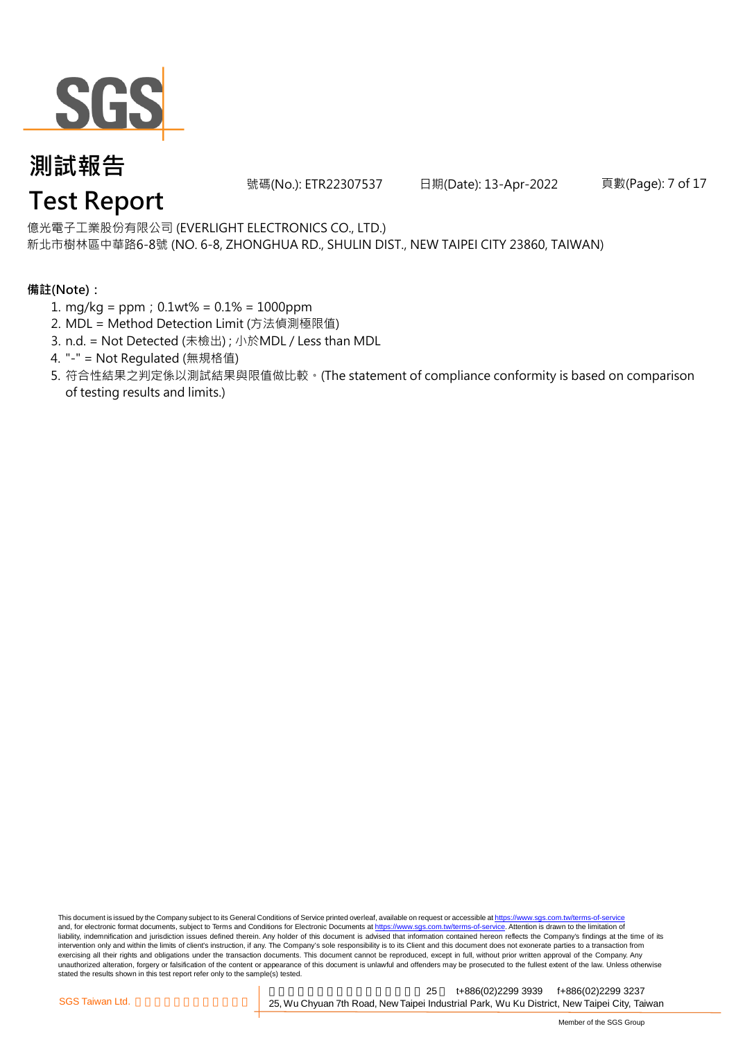

號碼(No.): ETR22307537 日期(Date): 13-Apr-2022

頁數(Page): 7 of 17

#### 億光電子工業股份有限公司 (EVERLIGHT ELECTRONICS CO., LTD.)

新北市樹林區中華路6-8號 (NO. 6-8, ZHONGHUA RD., SHULIN DIST., NEW TAIPEI CITY 23860, TAIWAN)

#### **備註(Note):**

- 1. mg/kg = ppm;0.1wt% = 0.1% = 1000ppm
- 2. MDL = Method Detection Limit (方法偵測極限值)
- 3. n.d. = Not Detected (未檢出) ; 小於MDL / Less than MDL
- 4. "-" = Not Regulated (無規格值)
- 5. 符合性結果之判定係以測試結果與限值做比較。(The statement of compliance conformity is based on comparison of testing results and limits.)

This document is issued by the Company subject to its General Conditions of Service printed overleaf, available on request or accessible at https://www.sgs.com.tw/terms-of-service and, for electronic format documents, subject to Terms and Conditions for Electronic Documents at https://www.sgs.com.tw/terms-of-service. Attention is drawn to the limitation of liability, indemnification and jurisdiction issues defined therein. Any holder of this document is advised that information contained hereon reflects the Company's findings at the time of its intervention only and within the limits of client's instruction, if any. The Company's sole responsibility is to its Client and this document does not exonerate parties to a transaction from exercising all their rights and obligations under the transaction documents. This document cannot be reproduced, except in full, without prior written approval of the Company. Any<br>unauthorized alteration, forgery or falsif stated the results shown in this test report refer only to the sample(s) tested.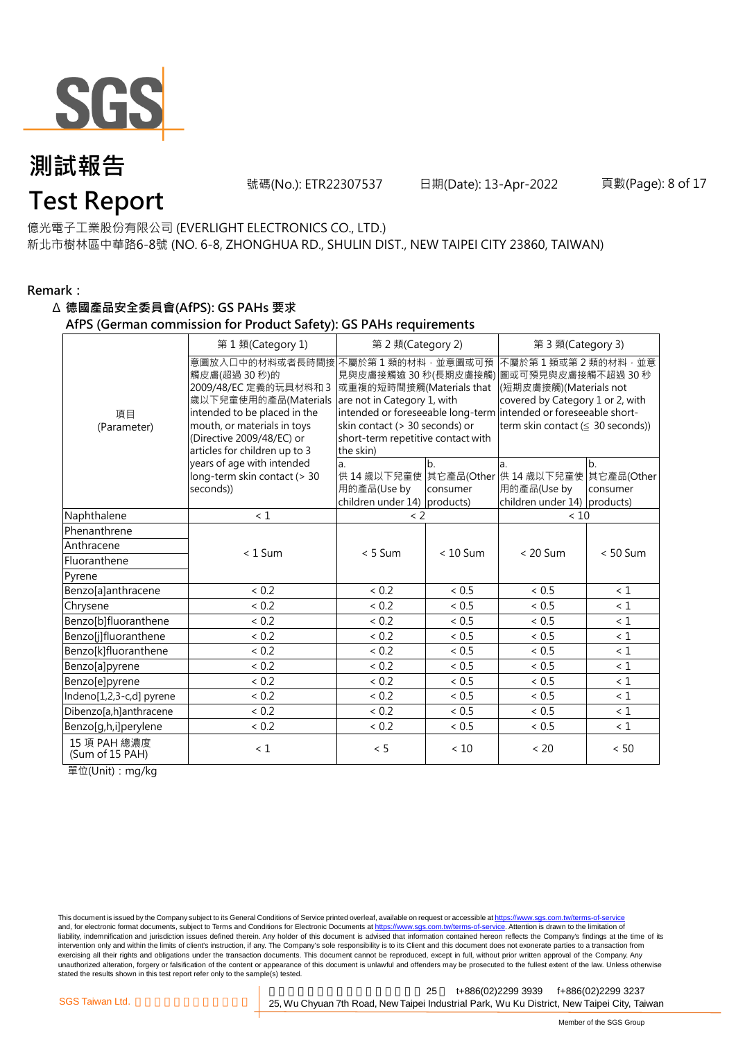

**Test Report**

號碼(No.): ETR22307537 日期(Date): 13-Apr-2022

#### 億光電子工業股份有限公司 (EVERLIGHT ELECTRONICS CO., LTD.)

新北市樹林區中華路6-8號 (NO. 6-8, ZHONGHUA RD., SHULIN DIST., NEW TAIPEI CITY 23860, TAIWAN)

#### **Remark:**

#### Δ **德國產品安全委員會(AfPS): GS PAHs 要求**

#### **AfPS (German commission for Product Safety): GS PAHs requirements**

|                                 | 第1類(Category 1)                                                                                                                                                                                               | 第 2 類(Category 2)                                                                                                                                                |                | 第 3 類(Category 3)                                                                                                                                                                                                                        |                 |  |
|---------------------------------|---------------------------------------------------------------------------------------------------------------------------------------------------------------------------------------------------------------|------------------------------------------------------------------------------------------------------------------------------------------------------------------|----------------|------------------------------------------------------------------------------------------------------------------------------------------------------------------------------------------------------------------------------------------|-----------------|--|
| 項目<br>(Parameter)               | 意圖放入口中的材料或者長時間接<br>觸皮膚(超過 30秒)的<br>2009/48/EC 定義的玩具材料和 3<br>歲以下兒童使用的產品(Materials<br>intended to be placed in the<br>mouth, or materials in toys<br>(Directive 2009/48/EC) or<br>articles for children up to 3 | 不屬於第1類的材料,並意圖或可預<br>或重複的短時間接觸(Materials that<br>are not in Category 1, with<br>skin contact (> 30 seconds) or<br>short-term repetitive contact with<br>the skin) |                | 不屬於第1類或第2類的材料,並意<br>見與皮膚接觸逾 30 秒(長期皮膚接觸) 圖或可預見與皮膚接觸不超過 30 秒<br>(短期皮膚接觸)(Materials not<br>covered by Category 1 or 2, with<br>intended or foreseeable long-term intended or foreseeable short-<br>term skin contact ( $\leq$ 30 seconds)) |                 |  |
|                                 | years of age with intended<br>long-term skin contact (> 30<br>seconds))                                                                                                                                       | a.<br>用的產品(Use by<br>children under 14) products)                                                                                                                | b.<br>consumer | a.<br>供 14 歳以下兒童使 其它產品(Other 供 14 歳以下兒童使 其它產品(Other<br>用的產品(Use by<br>children under 14) products)                                                                                                                                       | lb.<br>consumer |  |
| Naphthalene                     | < 1                                                                                                                                                                                                           | $\langle$ 2                                                                                                                                                      |                | < 10                                                                                                                                                                                                                                     |                 |  |
| Phenanthrene                    |                                                                                                                                                                                                               |                                                                                                                                                                  |                |                                                                                                                                                                                                                                          |                 |  |
| Anthracene                      | $< 1$ Sum                                                                                                                                                                                                     | $< 5$ Sum                                                                                                                                                        | $< 10$ Sum     | $< 20$ Sum                                                                                                                                                                                                                               | $< 50$ Sum      |  |
| Fluoranthene                    |                                                                                                                                                                                                               |                                                                                                                                                                  |                |                                                                                                                                                                                                                                          |                 |  |
| Pyrene                          |                                                                                                                                                                                                               |                                                                                                                                                                  |                |                                                                                                                                                                                                                                          |                 |  |
| Benzo[a]anthracene              | < 0.2                                                                                                                                                                                                         | < 0.2                                                                                                                                                            | < 0.5          | < 0.5                                                                                                                                                                                                                                    | < 1             |  |
| Chrysene                        | < 0.2                                                                                                                                                                                                         | < 0.2                                                                                                                                                            | $< 0.5$        | ${}< 0.5$                                                                                                                                                                                                                                | $\leq 1$        |  |
| Benzo[b]fluoranthene            | < 0.2                                                                                                                                                                                                         | < 0.2                                                                                                                                                            | < 0.5          | < 0.5                                                                                                                                                                                                                                    | $\leq 1$        |  |
| Benzo[j]fluoranthene            | < 0.2                                                                                                                                                                                                         | < 0.2                                                                                                                                                            | < 0.5          | ${}< 0.5$                                                                                                                                                                                                                                | $\leq 1$        |  |
| Benzo[k]fluoranthene            | < 0.2                                                                                                                                                                                                         | < 0.2                                                                                                                                                            | < 0.5          | < 0.5                                                                                                                                                                                                                                    | $\leq 1$        |  |
| Benzo[a]pyrene                  | ${}< 0.2$                                                                                                                                                                                                     | < 0.2                                                                                                                                                            | ~< 0.5         | ~< 0.5                                                                                                                                                                                                                                   | < 1             |  |
| Benzo[e]pyrene                  | < 0.2                                                                                                                                                                                                         | < 0.2                                                                                                                                                            | < 0.5          | < 0.5                                                                                                                                                                                                                                    | $\leq 1$        |  |
| Indeno[1,2,3-c,d] pyrene        | < 0.2                                                                                                                                                                                                         | < 0.2                                                                                                                                                            | < 0.5          | < 0.5                                                                                                                                                                                                                                    | $\leq 1$        |  |
| Dibenzo[a,h]anthracene          | < 0.2                                                                                                                                                                                                         | < 0.2                                                                                                                                                            | ~< 0.5         | ~< 0.5                                                                                                                                                                                                                                   | $\leq 1$        |  |
| Benzo[g,h,i]perylene            | < 0.2                                                                                                                                                                                                         | ${}< 0.2$                                                                                                                                                        | < 0.5          | ${}< 0.5$                                                                                                                                                                                                                                | $\leq 1$        |  |
| 15 項 PAH 總濃度<br>(Sum of 15 PAH) | $\leq 1$                                                                                                                                                                                                      | < 5                                                                                                                                                              | < 10           | < 20                                                                                                                                                                                                                                     | < 50            |  |

單位(Unit):mg/kg

This document is issued by the Company subject to its General Conditions of Service printed overleaf, available on request or accessible at <u>https://www.sgs.com.tw/terms-of-service</u><br>and, for electronic format documents, su liability, indemnification and jurisdiction issues defined therein. Any holder of this document is advised that information contained hereon reflects the Company's findings at the time of its intervention only and within the limits of client's instruction, if any. The Company's sole responsibility is to its Client and this document does not exonerate parties to a transaction from exercising all their rights and obligations under the transaction documents. This document cannot be reproduced, except in full, without prior written approval of the Company. Any<br>unauthorized alteration, forgery or falsif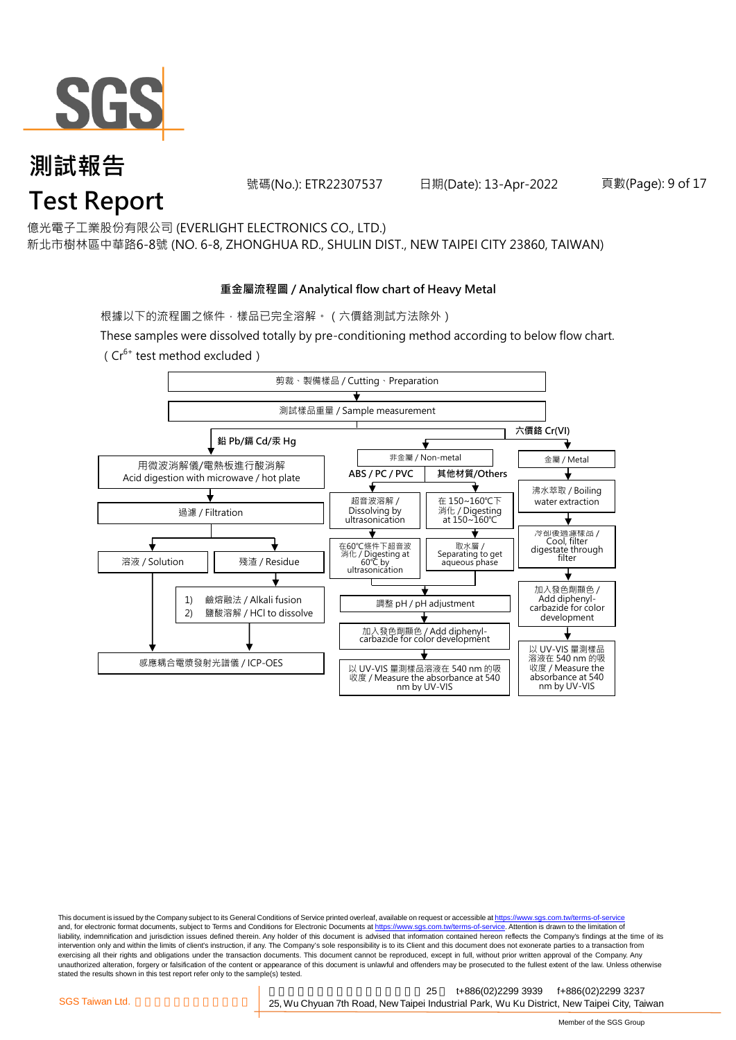

號碼(No.): ETR22307537 日期(Date): 13-Apr-2022

頁數(Page): 9 of 17

#### 億光電子工業股份有限公司 (EVERLIGHT ELECTRONICS CO., LTD.)

新北市樹林區中華路6-8號 (NO. 6-8, ZHONGHUA RD., SHULIN DIST., NEW TAIPEI CITY 23860, TAIWAN)

#### **重金屬流程圖 / Analytical flow chart of Heavy Metal**

根據以下的流程圖之條件,樣品已完全溶解。(六價鉻測試方法除外)

These samples were dissolved totally by pre-conditioning method according to below flow chart.

(Cr6+ test method excluded)



This document is issued by the Company subject to its General Conditions of Service printed overleaf, available on request or accessible at https://www.sgs.com.tw/terms-of-service and, for electronic format documents, subject to Terms and Conditions for Electronic Documents at https://www.sgs.com.tw/terms-of-service. Attention is drawn to the limitation of liability, indemnification and jurisdiction issues defined therein. Any holder of this document is advised that information contained hereon reflects the Company's findings at the time of its intervention only and within the limits of client's instruction, if any. The Company's sole responsibility is to its Client and this document does not exonerate parties to a transaction from exercising all their rights and obligations under the transaction documents. This document cannot be reproduced, except in full, without prior written approval of the Company. Any<br>unauthorized alteration, forgery or falsif stated the results shown in this test report refer only to the sample(s) tested.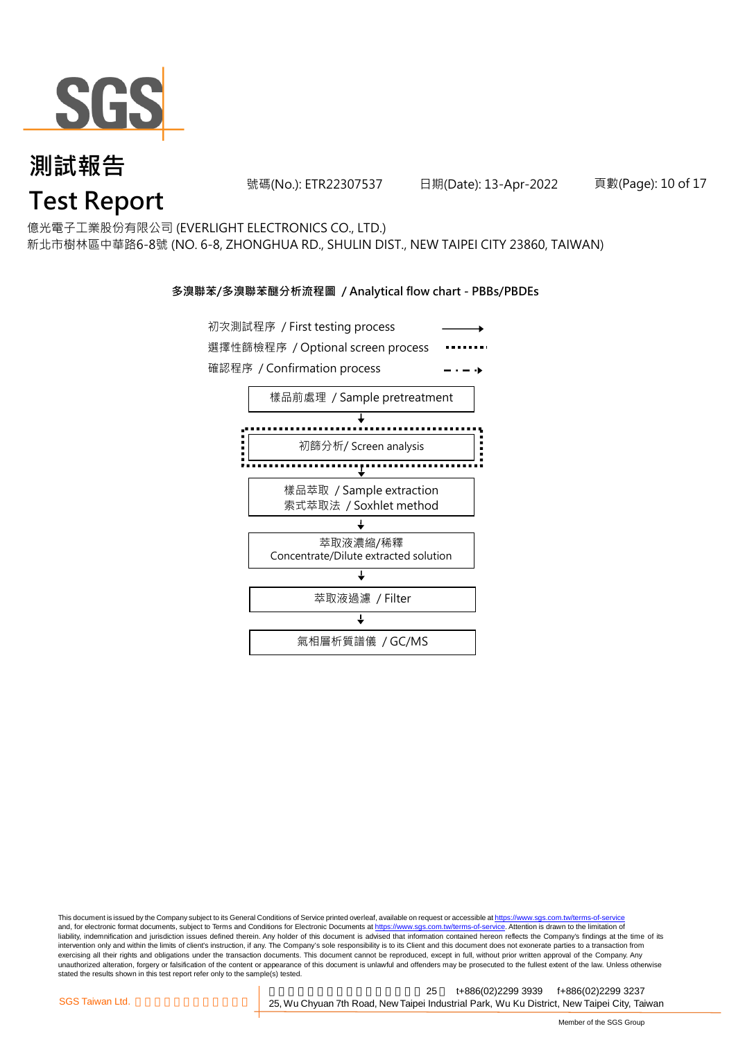

號碼(No.): ETR22307537 日期(Date): 13-Apr-2022

頁數(Page): 10 of 17

億光電子工業股份有限公司 (EVERLIGHT ELECTRONICS CO., LTD.)

新北市樹林區中華路6-8號 (NO. 6-8, ZHONGHUA RD., SHULIN DIST., NEW TAIPEI CITY 23860, TAIWAN)

#### **多溴聯苯/多溴聯苯醚分析流程圖 / Analytical flow chart - PBBs/PBDEs**



This document is issued by the Company subject to its General Conditions of Service printed overleaf, available on request or accessible at https://www.sgs.com.tw/terms-of-service and, for electronic format documents, subject to Terms and Conditions for Electronic Documents at https://www.sgs.com.tw/terms-of-service. Attention is drawn to the limitation of liability, indemnification and jurisdiction issues defined therein. Any holder of this document is advised that information contained hereon reflects the Company's findings at the time of its intervention only and within the limits of client's instruction, if any. The Company's sole responsibility is to its Client and this document does not exonerate parties to a transaction from exercising all their rights and obligations under the transaction documents. This document cannot be reproduced, except in full, without prior written approval of the Company. Any<br>unauthorized alteration, forgery or falsif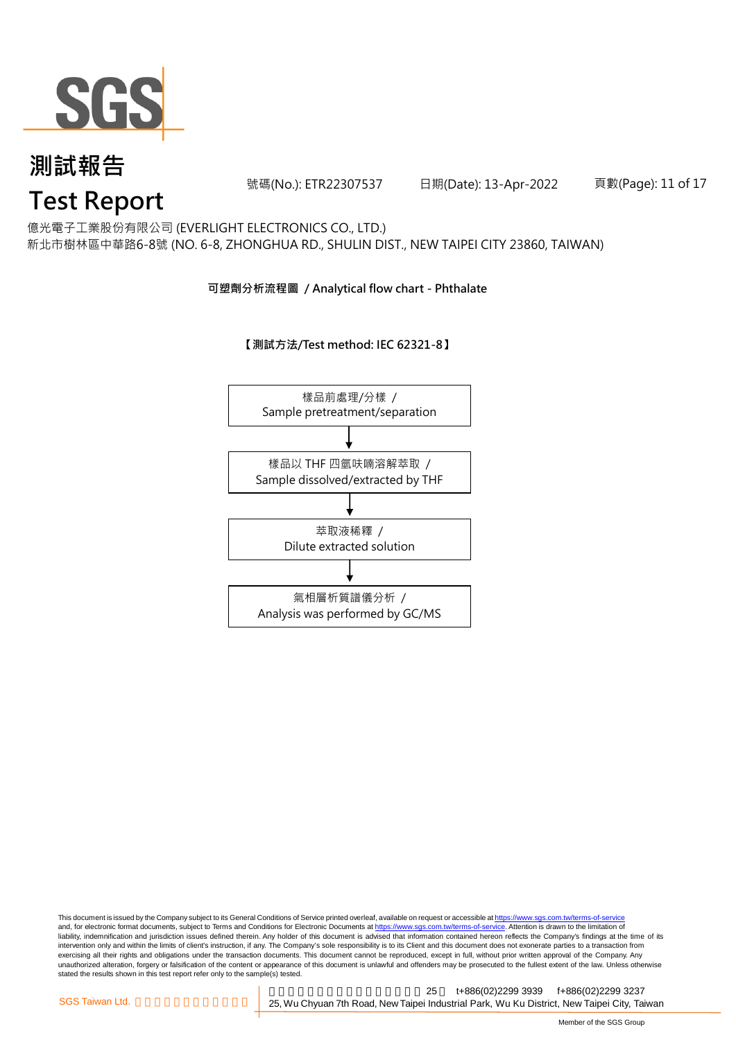

號碼(No.): ETR22307537 日期(Date): 13-Apr-2022

頁數(Page): 11 of 17

億光電子工業股份有限公司 (EVERLIGHT ELECTRONICS CO., LTD.)

新北市樹林區中華路6-8號 (NO. 6-8, ZHONGHUA RD., SHULIN DIST., NEW TAIPEI CITY 23860, TAIWAN)

**可塑劑分析流程圖 / Analytical flow chart - Phthalate**

**【測試方法/Test method: IEC 62321-8】**



This document is issued by the Company subject to its General Conditions of Service printed overleaf, available on request or accessible at <u>https://www.sgs.com.tw/terms-of-service</u><br>and, for electronic format documents, su liability, indemnification and jurisdiction issues defined therein. Any holder of this document is advised that information contained hereon reflects the Company's findings at the time of its intervention only and within the limits of client's instruction, if any. The Company's sole responsibility is to its Client and this document does not exonerate parties to a transaction from exercising all their rights and obligations under the transaction documents. This document cannot be reproduced, except in full, without prior written approval of the Company. Any<br>unauthorized alteration, forgery or falsif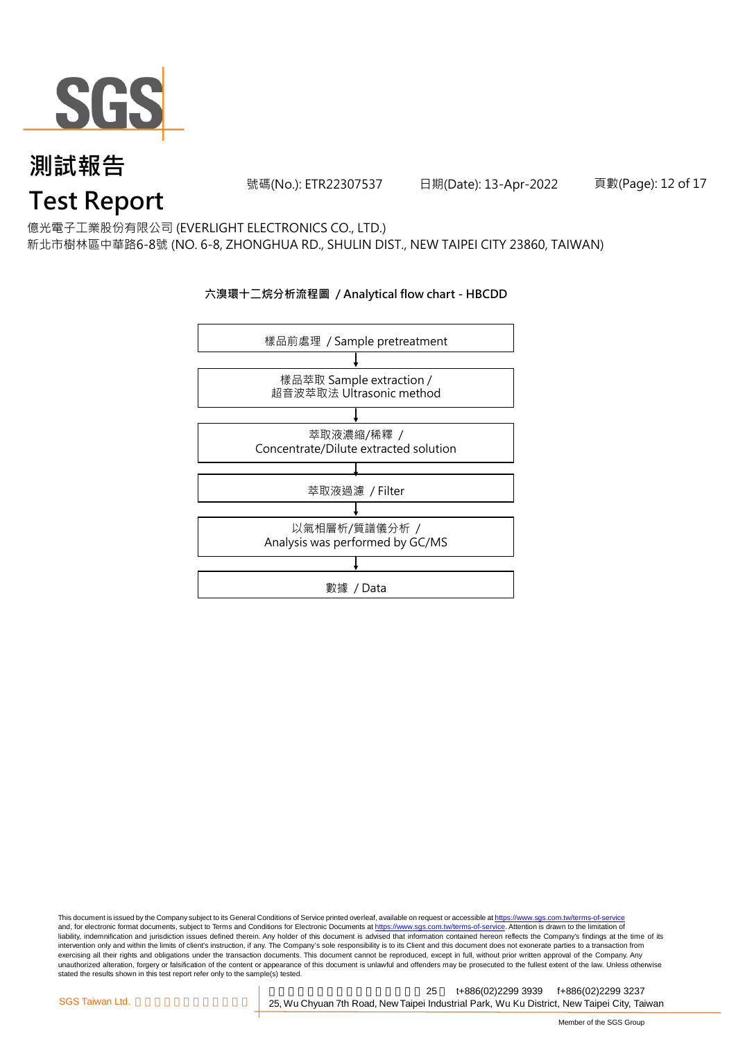

號碼(No.): ETR22307537 日期(Date): 13-Apr-2022

頁數(Page): 12 of 17

億光電子工業股份有限公司 (EVERLIGHT ELECTRONICS CO., LTD.)

新北市樹林區中華路6-8號 (NO. 6-8, ZHONGHUA RD., SHULIN DIST., NEW TAIPEI CITY 23860, TAIWAN)

#### **六溴環十二烷分析流程圖 / Analytical flow chart - HBCDD**



This document is issued by the Company subject to its General Conditions of Service printed overleaf, available on request or accessible at <u>https://www.sgs.com.tw/terms-of-service</u><br>and, for electronic format documents, su liability, indemnification and jurisdiction issues defined therein. Any holder of this document is advised that information contained hereon reflects the Company's findings at the time of its intervention only and within the limits of client's instruction, if any. The Company's sole responsibility is to its Client and this document does not exonerate parties to a transaction from exercising all their rights and obligations under the transaction documents. This document cannot be reproduced, except in full, without prior written approval of the Company. Any<br>unauthorized alteration, forgery or falsif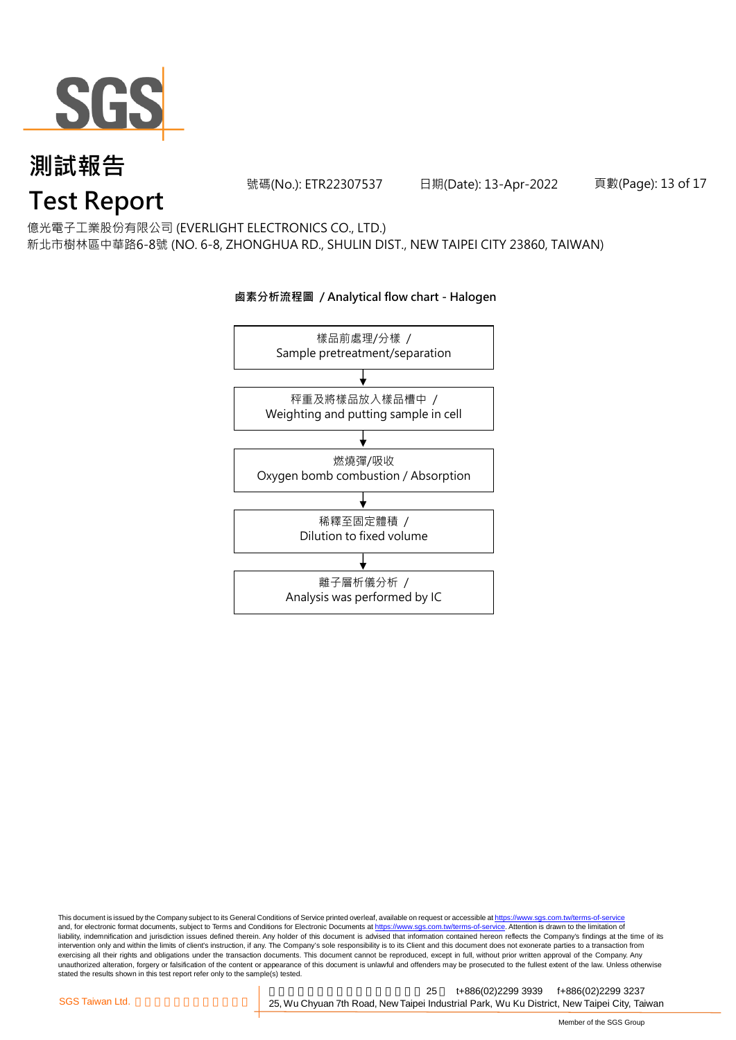

號碼(No.): ETR22307537 日期(Date): 13-Apr-2022

頁數(Page): 13 of 17

億光電子工業股份有限公司 (EVERLIGHT ELECTRONICS CO., LTD.)

新北市樹林區中華路6-8號 (NO. 6-8, ZHONGHUA RD., SHULIN DIST., NEW TAIPEI CITY 23860, TAIWAN)



#### **鹵素分析流程圖 / Analytical flow chart - Halogen**

This document is issued by the Company subject to its General Conditions of Service printed overleaf, available on request or accessible at <u>https://www.sgs.com.tw/terms-of-service</u><br>and, for electronic format documents, su liability, indemnification and jurisdiction issues defined therein. Any holder of this document is advised that information contained hereon reflects the Company's findings at the time of its intervention only and within the limits of client's instruction, if any. The Company's sole responsibility is to its Client and this document does not exonerate parties to a transaction from exercising all their rights and obligations under the transaction documents. This document cannot be reproduced, except in full, without prior written approval of the Company. Any<br>unauthorized alteration, forgery or falsif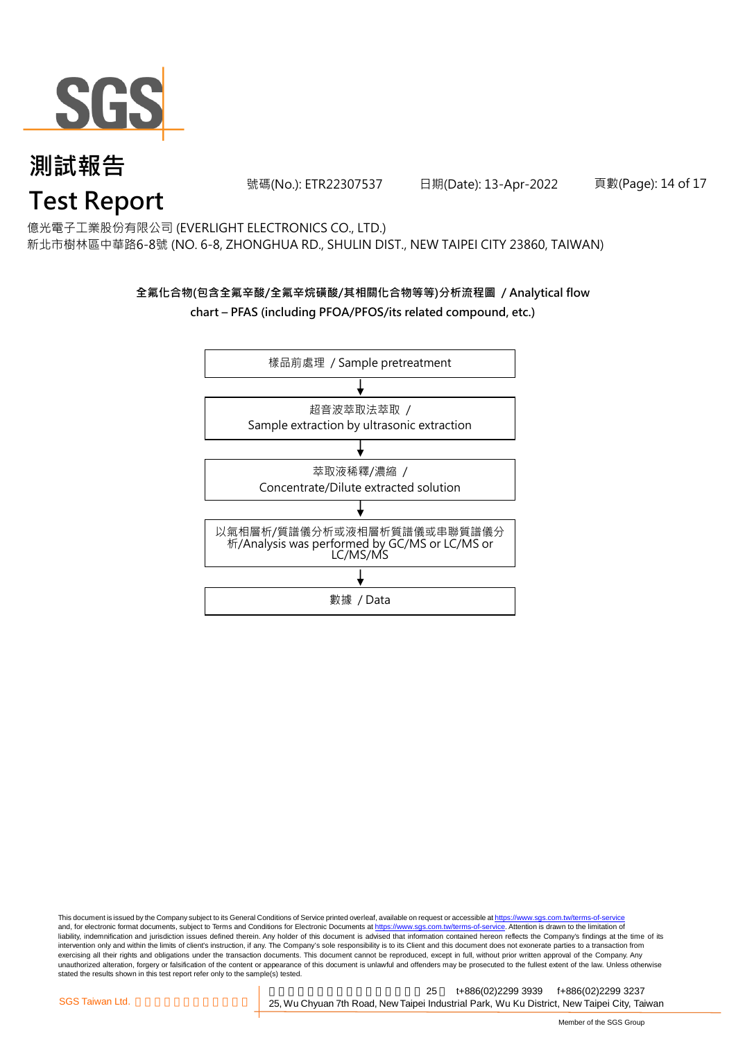

號碼(No.): ETR22307537 日期(Date): 13-Apr-2022

頁數(Page): 14 of 17

#### 億光電子工業股份有限公司 (EVERLIGHT ELECTRONICS CO., LTD.)

新北市樹林區中華路6-8號 (NO. 6-8, ZHONGHUA RD., SHULIN DIST., NEW TAIPEI CITY 23860, TAIWAN)

### **全氟化合物(包含全氟辛酸/全氟辛烷磺酸/其相關化合物等等)分析流程圖 / Analytical flow chart – PFAS (including PFOA/PFOS/its related compound, etc.)**



This document is issued by the Company subject to its General Conditions of Service printed overleaf, available on request or accessible at https://www.sgs.com.tw/terms-of-service and, for electronic format documents, subject to Terms and Conditions for Electronic Documents at https://www.sgs.com.tw/terms-of-service. Attention is drawn to the limitation of liability, indemnification and jurisdiction issues defined therein. Any holder of this document is advised that information contained hereon reflects the Company's findings at the time of its intervention only and within the limits of client's instruction, if any. The Company's sole responsibility is to its Client and this document does not exonerate parties to a transaction from exercising all their rights and obligations under the transaction documents. This document cannot be reproduced, except in full, without prior written approval of the Company. Any<br>unauthorized alteration, forgery or falsif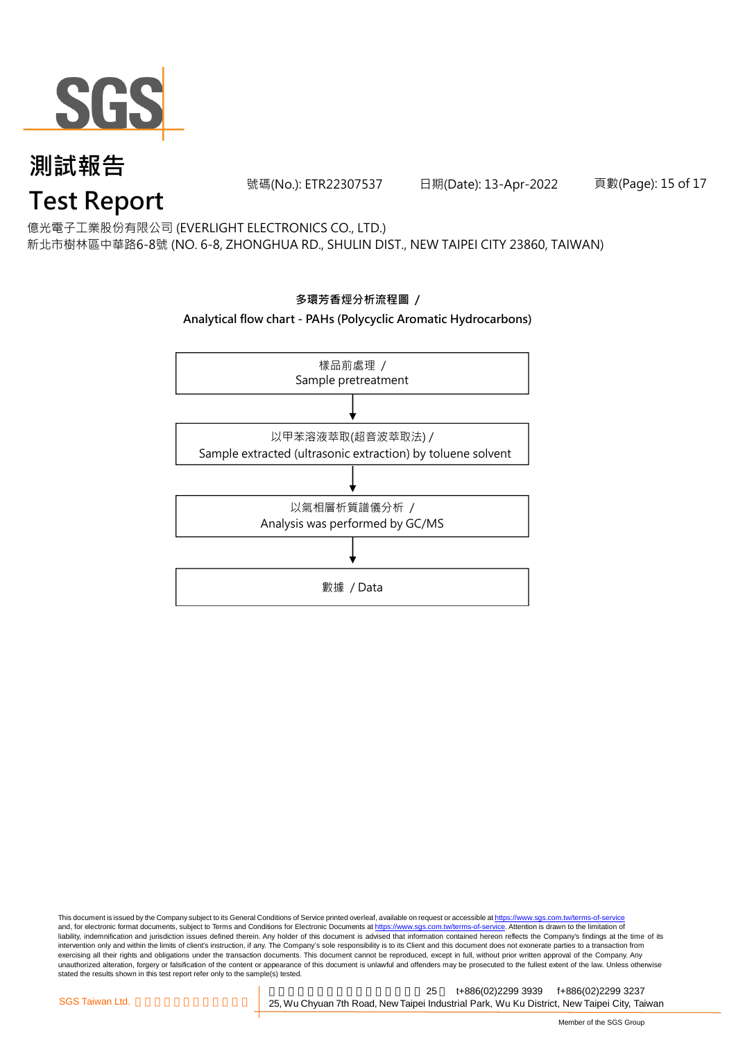

號碼(No.): ETR22307537 日期(Date): 13-Apr-2022

頁數(Page): 15 of 17

億光電子工業股份有限公司 (EVERLIGHT ELECTRONICS CO., LTD.)

新北市樹林區中華路6-8號 (NO. 6-8, ZHONGHUA RD., SHULIN DIST., NEW TAIPEI CITY 23860, TAIWAN)

# **Analytical flow chart - PAHs (Polycyclic Aromatic Hydrocarbons)** 樣品前處理 / Sample pretreatment 以甲苯溶液萃取(超音波萃取法) / Sample extracted (ultrasonic extraction) by toluene solvent 以氣相層析質譜儀分析 / Analysis was performed by GC/MS 數據 / Data

**多環芳香烴分析流程圖 /** 

This document is issued by the Company subject to its General Conditions of Service printed overleaf, available on request or accessible at <u>https://www.sgs.com.tw/terms-of-service</u><br>and, for electronic format documents, su liability, indemnification and jurisdiction issues defined therein. Any holder of this document is advised that information contained hereon reflects the Company's findings at the time of its intervention only and within the limits of client's instruction, if any. The Company's sole responsibility is to its Client and this document does not exonerate parties to a transaction from exercising all their rights and obligations under the transaction documents. This document cannot be reproduced, except in full, without prior written approval of the Company. Any<br>unauthorized alteration, forgery or falsif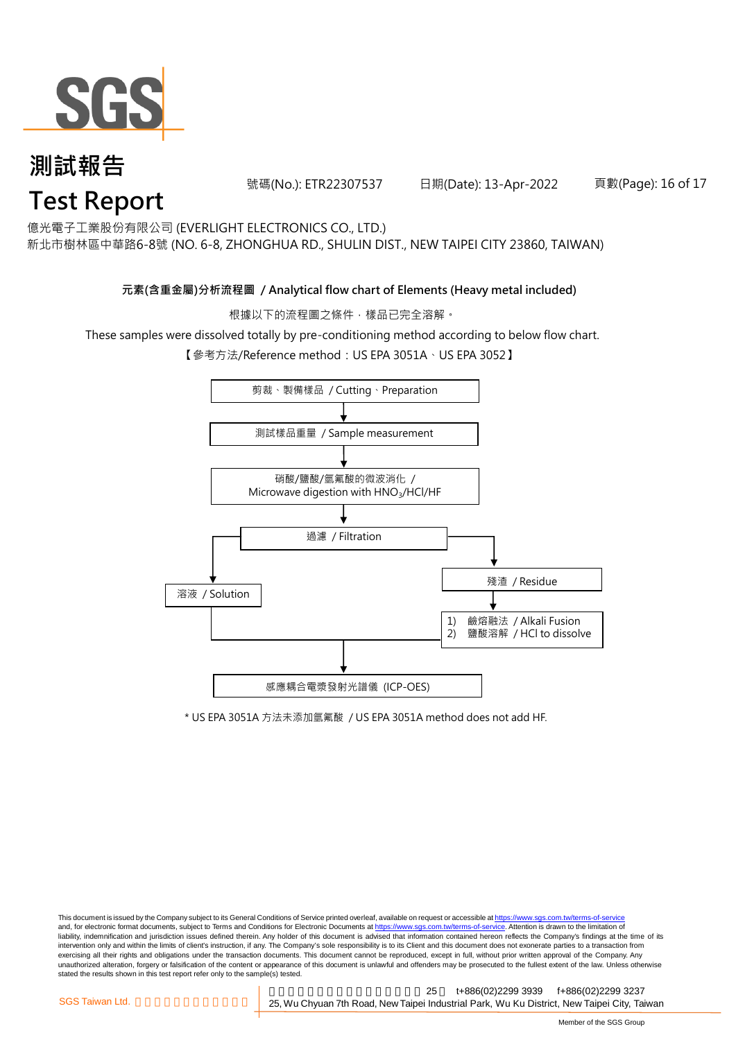

號碼(No.): ETR22307537 日期(Date): 13-Apr-2022

頁數(Page): 16 of 17

億光電子工業股份有限公司 (EVERLIGHT ELECTRONICS CO., LTD.)

新北市樹林區中華路6-8號 (NO. 6-8, ZHONGHUA RD., SHULIN DIST., NEW TAIPEI CITY 23860, TAIWAN)

#### **元素(含重金屬)分析流程圖 / Analytical flow chart of Elements (Heavy metal included)**

根據以下的流程圖之條件,樣品已完全溶解。

These samples were dissolved totally by pre-conditioning method according to below flow chart.

【參考方法/Reference method:US EPA 3051A、US EPA 3052】



\* US EPA 3051A 方法未添加氫氟酸 / US EPA 3051A method does not add HF.

This document is issued by the Company subject to its General Conditions of Service printed overleaf, available on request or accessible at https://www.sgs.com.tw/terms-of-service and, for electronic format documents, subject to Terms and Conditions for Electronic Documents at https://www.sgs.com.tw/terms-of-service. Attention is drawn to the limitation of liability, indemnification and jurisdiction issues defined therein. Any holder of this document is advised that information contained hereon reflects the Company's findings at the time of its intervention only and within the limits of client's instruction, if any. The Company's sole responsibility is to its Client and this document does not exonerate parties to a transaction from exercising all their rights and obligations under the transaction documents. This document cannot be reproduced, except in full, without prior written approval of the Company. Any<br>unauthorized alteration, forgery or falsif stated the results shown in this test report refer only to the sample(s) tested.